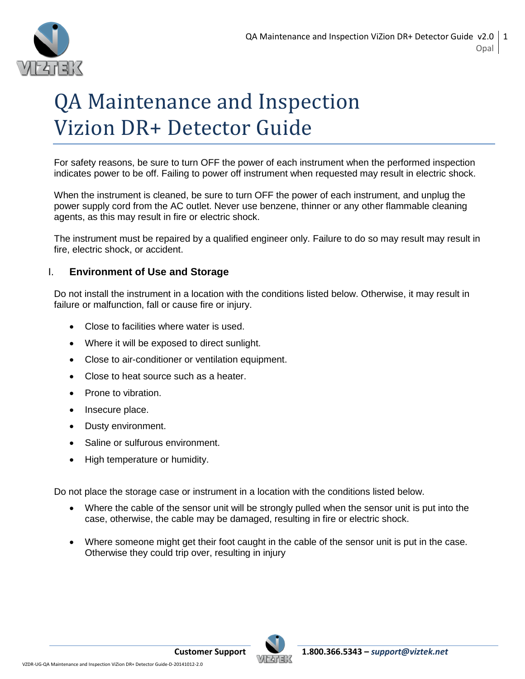

# QA Maintenance and Inspection Vizion DR+ Detector Guide

For safety reasons, be sure to turn OFF the power of each instrument when the performed inspection indicates power to be off. Failing to power off instrument when requested may result in electric shock.

When the instrument is cleaned, be sure to turn OFF the power of each instrument, and unplug the power supply cord from the AC outlet. Never use benzene, thinner or any other flammable cleaning agents, as this may result in fire or electric shock.

The instrument must be repaired by a qualified engineer only. Failure to do so may result may result in fire, electric shock, or accident.

# I. **Environment of Use and Storage**

Do not install the instrument in a location with the conditions listed below. Otherwise, it may result in failure or malfunction, fall or cause fire or injury.

- Close to facilities where water is used.
- Where it will be exposed to direct sunlight.
- Close to air-conditioner or ventilation equipment.
- Close to heat source such as a heater.
- Prone to vibration.
- Insecure place.
- Dusty environment.
- Saline or sulfurous environment.
- High temperature or humidity.

Do not place the storage case or instrument in a location with the conditions listed below.

- Where the cable of the sensor unit will be strongly pulled when the sensor unit is put into the case, otherwise, the cable may be damaged, resulting in fire or electric shock.
- Where someone might get their foot caught in the cable of the sensor unit is put in the case. Otherwise they could trip over, resulting in injury

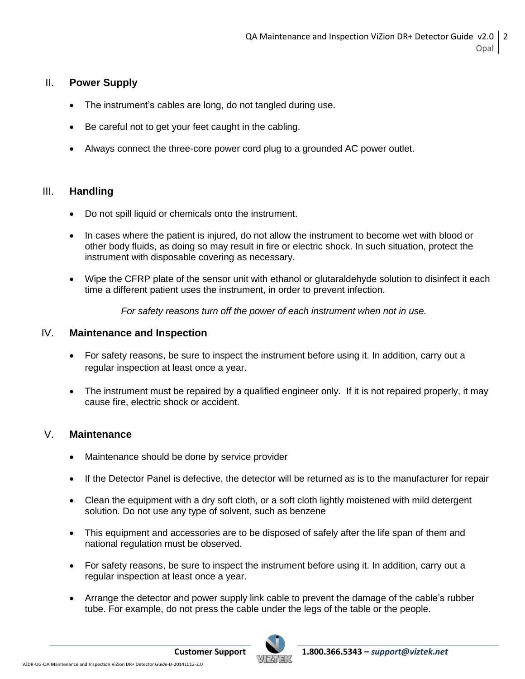# II. **Power Supply**

- The instrument's cables are long, do not tangled during use.
- Be careful not to get your feet caught in the cabling.
- Always connect the three-core power cord plug to a grounded AC power outlet.

# III. **Handling**

- Do not spill liquid or chemicals onto the instrument.
- In cases where the patient is injured, do not allow the instrument to become wet with blood or other body fluids, as doing so may result in fire or electric shock. In such situation, protect the instrument with disposable covering as necessary.
- Wipe the CFRP plate of the sensor unit with ethanol or glutaraldehyde solution to disinfect it each time a different patient uses the instrument, in order to prevent infection.

*For safety reasons turn off the power of each instrument when not in use.*

## IV. **Maintenance and Inspection**

- For safety reasons, be sure to inspect the instrument before using it. In addition, carry out a regular inspection at least once a year.
- The instrument must be repaired by a qualified engineer only. If it is not repaired properly, it may cause fire, electric shock or accident.

## V. **Maintenance**

- Maintenance should be done by service provider
- If the Detector Panel is defective, the detector will be returned as is to the manufacturer for repair
- Clean the equipment with a dry soft cloth, or a soft cloth lightly moistened with mild detergent solution. Do not use any type of solvent, such as benzene
- This equipment and accessories are to be disposed of safely after the life span of them and national regulation must be observed.
- For safety reasons, be sure to inspect the instrument before using it. In addition, carry out a regular inspection at least once a year.
- Arrange the detector and power supply link cable to prevent the damage of the cable's rubber tube. For example, do not press the cable under the legs of the table or the people.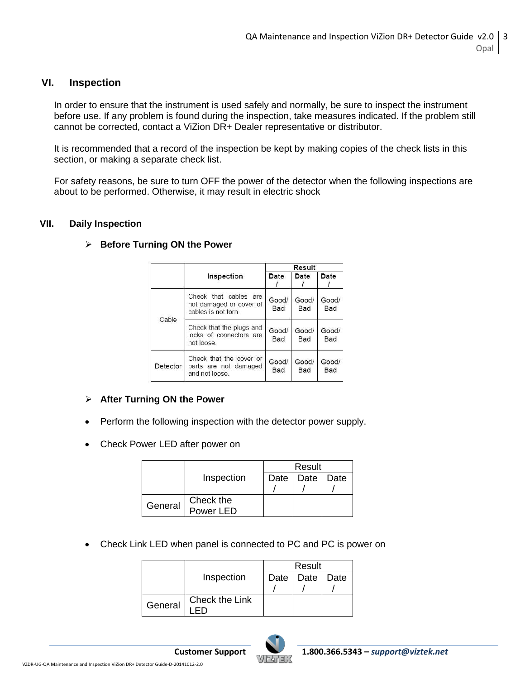### **VI. Inspection**

In order to ensure that the instrument is used safely and normally, be sure to inspect the instrument before use. If any problem is found during the inspection, take measures indicated. If the problem still cannot be corrected, contact a ViZion DR+ Dealer representative or distributor.

It is recommended that a record of the inspection be kept by making copies of the check lists in this section, or making a separate check list.

For safety reasons, be sure to turn OFF the power of the detector when the following inspections are about to be performed. Otherwise, it may result in electric shock

#### **VII. Daily Inspection**

|          |                                                                        | Result                              |              |                     |
|----------|------------------------------------------------------------------------|-------------------------------------|--------------|---------------------|
|          | Inspection                                                             | Date                                | Date         | Date                |
| Cable    | Check that cables are<br>not damaged or cover of<br>cables is not torn | Good/<br>Good/<br><b>Bad</b><br>Bad |              | Good/<br>Bad        |
|          | Check that the plugs and<br>locks of connectors are<br>not loose.      | Good/<br>Bad                        | Good/<br>Bad | Good/<br>Bad        |
| Detector | Check that the cover or<br>parts are not damaged<br>and not loose.     | Good/<br>Bad                        | Good/<br>Bad | Good/<br><b>Bad</b> |

#### **Before Turning ON the Power**

## **After Turning ON the Power**

- Perform the following inspection with the detector power supply.
- Check Power LED after power on

|         |            | Result |                    |  |
|---------|------------|--------|--------------------|--|
|         | Inspection |        | Date   Date   Date |  |
|         |            |        |                    |  |
| General | Check the  |        |                    |  |
|         | Power LED  |        |                    |  |

Check Link LED when panel is connected to PC and PC is power on

|         |                | Result |                    |  |
|---------|----------------|--------|--------------------|--|
|         | Inspection     |        | Date   Date   Date |  |
|         |                |        |                    |  |
| General | Check the Link |        |                    |  |

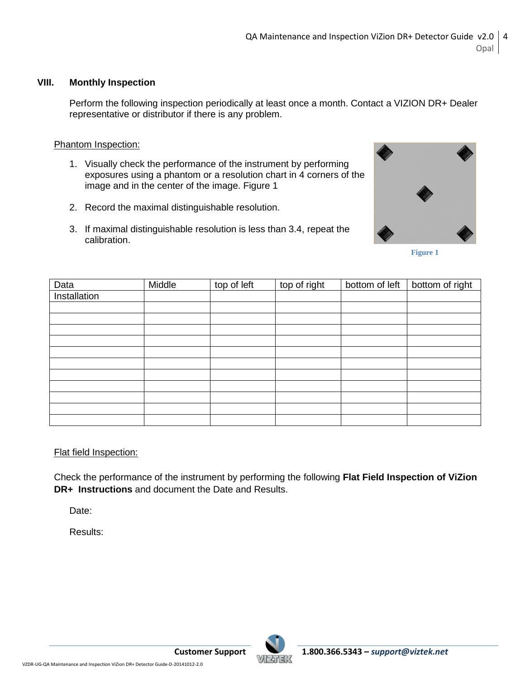#### **VIII. Monthly Inspection**

Perform the following inspection periodically at least once a month. Contact a VIZION DR+ Dealer representative or distributor if there is any problem.

#### Phantom Inspection:

- 1. Visually check the performance of the instrument by performing exposures using a phantom or a resolution chart in 4 corners of the image and in the center of the image. Figure 1
- 2. Record the maximal distinguishable resolution.
- 3. If maximal distinguishable resolution is less than 3.4, repeat the calibration.



**Figure 1**

| Data         | Middle | top of left | top of right | bottom of left | bottom of right |
|--------------|--------|-------------|--------------|----------------|-----------------|
| Installation |        |             |              |                |                 |
|              |        |             |              |                |                 |
|              |        |             |              |                |                 |
|              |        |             |              |                |                 |
|              |        |             |              |                |                 |
|              |        |             |              |                |                 |
|              |        |             |              |                |                 |
|              |        |             |              |                |                 |
|              |        |             |              |                |                 |
|              |        |             |              |                |                 |
|              |        |             |              |                |                 |
|              |        |             |              |                |                 |

#### Flat field Inspection:

Check the performance of the instrument by performing the following **Flat Field Inspection of ViZion DR+ Instructions** and document the Date and Results.

Date:

Results:

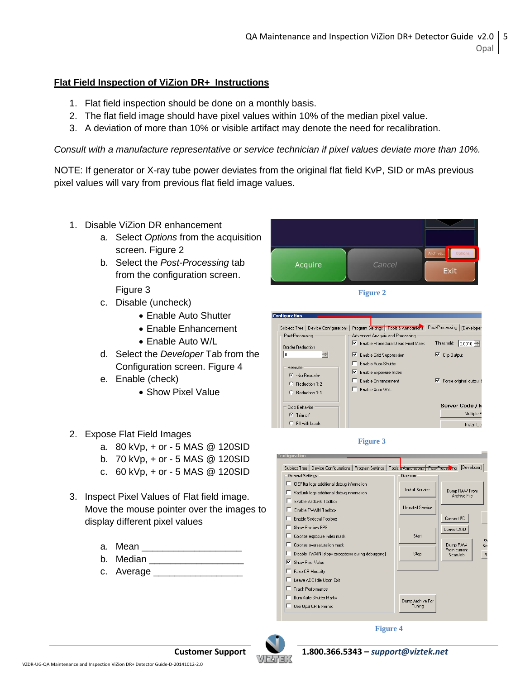## **Flat Field Inspection of ViZion DR+ Instructions**

- 1. Flat field inspection should be done on a monthly basis.
- 2. The flat field image should have pixel values within 10% of the median pixel value.
- 3. A deviation of more than 10% or visible artifact may denote the need for recalibration.

*Consult with a manufacture representative or service technician if pixel values deviate more than 10%.*

NOTE: If generator or X-ray tube power deviates from the original flat field KvP, SID or mAs previous pixel values will vary from previous flat field image values.

- 1. Disable ViZion DR enhancement
	- a. Select *Options* from the acquisition screen. Figure 2
	- b. Select the *Post-Processing* tab from the configuration screen.

Figure 3

- c. Disable (uncheck)
	- Enable Auto Shutter
	- Enable Enhancement
	- Enable Auto W/L
- d. Select the *Developer* Tab from the Configuration screen. Figure 4
- e. Enable (check)
	- Show Pixel Value
- 2. Expose Flat Field Images
	- a. 80 kVp, + or 5 MAS @ 120SID
	- b. 70 kVp, + or 5 MAS @ 120SID
	- c. 60 kVp, + or 5 MAS @ 120SID
- 3. Inspect Pixel Values of Flat field image. Move the mouse pointer over the images to display different pixel values
	- a. Mean **compared a**
	- b. Median
	- c. Average \_\_



**Figure 2**